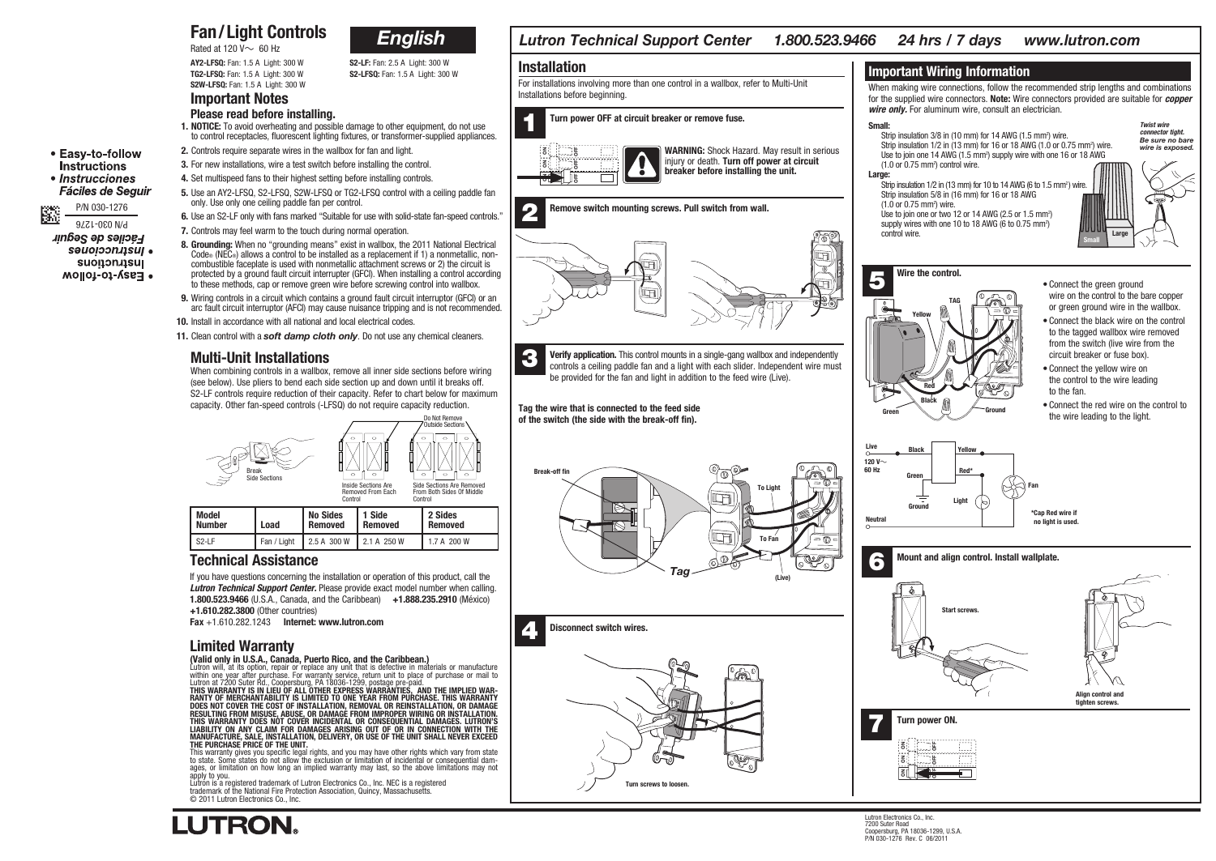### Fan/Light Controls Rated at 120  $V \sim 60$  Hz



S2W-LFSQ: Fan: 1.5 A Light: 300 W

AY2-LFSQ: Fan: 1.5 A Light: 300 W S2-LF: Fan: 2.5 A Light: 300 W TG2-LFSQ: Fan: 1.5 A Light: 300 W S2-LFSQ: Fan: 1.5 A Light: 300 W

# Important Notes

- **Please read before installing.**<br>**1. NOTICE:** To avoid overheating and possible damage to other equipment, do not use 1. NOTICE: To avoid overheating and possible damage to other equipment, do not use to control receptacles, fluorescent lighting fixtures, or transformer-supplied appliances.
- 2. Controls require separate wires in the wallbox for fan and light.
- 3. For new installations, wire a test switch before installing the control.
- 4. Set multispeed fans to their highest setting before installing controls.
- 5. Use an AY2-LFSQ, S2-LFSQ, S2W-LFSQ or TG2-LFSQ control with a ceiling paddle fan only. Use only one ceiling paddle fan per control.
- 6. Use an S2-LF only with fans marked "Suitable for use with solid-state fan-speed controls."
- 7. Controls may feel warm to the touch during normal operation.
- 8. Grounding: When no "grounding means" exist in wallbox, the 2011 National Electrical Code® (NEC®) allows a control to be installed as a replacement if 1) a nonmetallic, noncombustible faceplate is used with nonmetallic attachment screws or 2) the circuit is protected by a ground fault circuit interrupter (GFCI). When installing a control according to these methods, cap or remove green wire before screwing control into wallbox.
- 9. Wiring controls in a circuit which contains a ground fault circuit interruptor (GFCI) or an arc fault circuit interruptor (AFCI) may cause nuisance tripping and is not recommended.
- 10. Install in accordance with all national and local electrical codes.
- 11. Clean control with a *soft damp cloth only*. Do not use any chemical cleaners.

### Multi-Unit Installations

When combining controls in a wallbox, remove all inner side sections before wiring (see below). Use pliers to bend each side section up and down until it breaks off. S2-LF controls require reduction of their capacity. Refer to chart below for maximum capacity. Other fan-speed controls (-LFSQ) do not require capacity reduction.



|                        |             | Control             |                   | Control            |  |
|------------------------|-------------|---------------------|-------------------|--------------------|--|
| Model<br><b>Number</b> | Load        | No Sides<br>Removed | 1 Side<br>Removed | 2 Sides<br>Removed |  |
| S <sub>2</sub> -LF     | Fan / Light | 2.5 A 300 W         | 2.1 A 250 W       | 1.7 A 200 W        |  |

### Technical Assistance

If you have questions concerning the installation or operation of this product, call the *Lutron Technical Support Center.* Please provide exact model number when calling. 1.800.523.9466 (U.S.A., Canada, and the Caribbean) +1.888.235.2910 (México) +1.610.282.3800 (Other countries)

Fax  $+1.610.282.1243$  Internet: www.lutron.com

## Limited Warranty

**LUTRON** 

(Valid only in U.S.A., Canada, Puerto Rico, and the Caribbean.) Lutron will, at its option, repair or replace any unit that is defective in materials or manufacture

within one year after purchase. For warranty service, return unit to place of purchase or mail to Lutron at 7200 Suter Rd., Coopersburg, PA 18036-1299, postage pre-paid. THIS WARRANTY IS IN LIEU OF ALL OTHER EXPRESS WARRANTIES, AND THE IMPLIED WARRANTY OF MERCHANTABILITY IS LIMITED TO ONE YEAR FROM PURCHASE. THIS WARRANTY DOES NOT COVER THE COST OF INSTALLATION, REMOVAL OR REINSTALLATION,

to state of limitation on how long an implied warranty may last, so the above limitations may not apply to you.

Lutron is a registered trademark of Lutron Electronics Co., Inc. NEC is a registered trademark of the National Fire Protection Association, Quincy, Massachusetts. © 2011 Lutron Electronics Co., Inc.



*Lutron Technical Support Center 1.800.523.9466 24 hrs / 7 days www.lutron.com*

Turn screws to loosen.



õ

õ

õ

 $^{\mathrm{h}}$ 

Ë<br>D

OFF

*Twist wire connector tight. Be sure no bare wire is exposed.*





P/N 030-1276 毉 P/N 030-1276 Faciles de Seguir səuoioon.usul . **Instructions** • Easy-to-follow